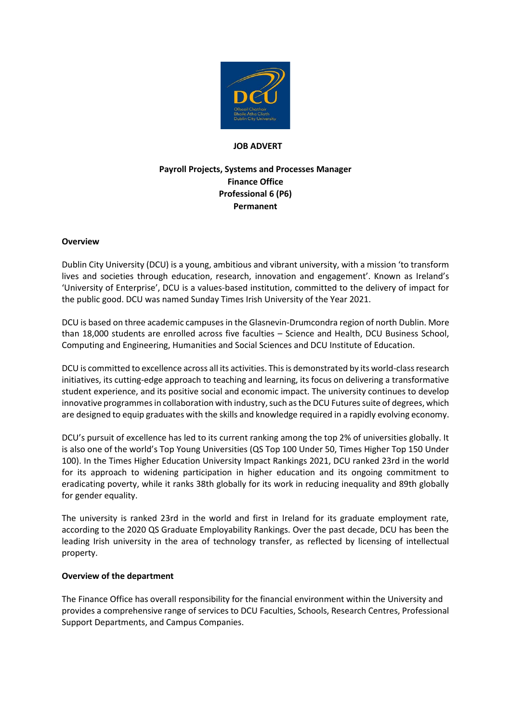

#### **JOB ADVERT**

# **Payroll Projects, Systems and Processes Manager Finance Office Professional 6 (P6) Permanent**

#### **Overview**

Dublin City University (DCU) is a young, ambitious and vibrant university, with a mission 'to transform lives and societies through education, research, innovation and engagement'. Known as Ireland's 'University of Enterprise', DCU is a values-based institution, committed to the delivery of impact for the public good. DCU was named Sunday Times Irish University of the Year 2021.

DCU is based on three academic campuses in the Glasnevin-Drumcondra region of north Dublin. More than 18,000 students are enrolled across five faculties – Science and Health, DCU Business School, Computing and Engineering, Humanities and Social Sciences and DCU Institute of Education.

DCU is committed to excellence across all its activities. This is demonstrated by its world-class research initiatives, its cutting-edge approach to teaching and learning, its focus on delivering a transformative student experience, and its positive social and economic impact. The university continues to develop innovative programmes in collaboration with industry, such as the DCU Futures suite of degrees, which are designed to equip graduates with the skills and knowledge required in a rapidly evolving economy.

DCU's pursuit of excellence has led to its current ranking among the top 2% of universities globally. It is also one of the world's Top Young Universities (QS Top 100 Under 50, Times Higher Top 150 Under 100). In the Times Higher Education University Impact Rankings 2021, DCU ranked 23rd in the world for its approach to widening participation in higher education and its ongoing commitment to eradicating poverty, while it ranks 38th globally for its work in reducing inequality and 89th globally for gender equality.

The university is ranked 23rd in the world and first in Ireland for its graduate employment rate, according to the 2020 QS Graduate Employability Rankings. Over the past decade, DCU has been the leading Irish university in the area of technology transfer, as reflected by licensing of intellectual property.

#### **Overview of the department**

The Finance Office has overall responsibility for the financial environment within the University and provides a comprehensive range of services to DCU Faculties, Schools, Research Centres, Professional Support Departments, and Campus Companies.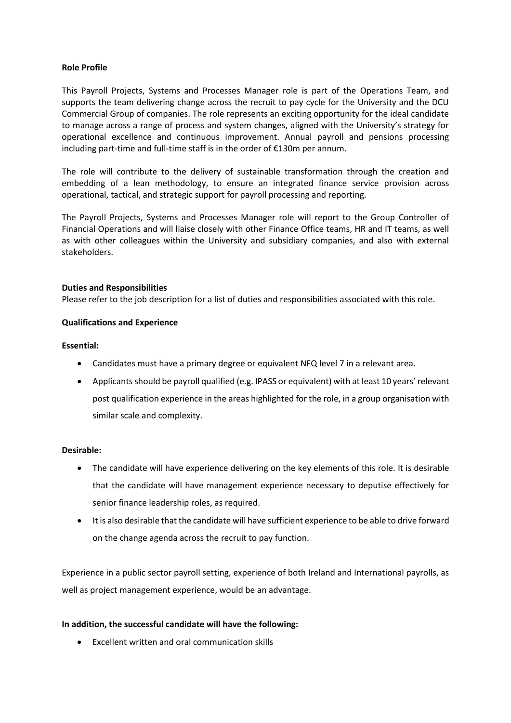### **Role Profile**

This Payroll Projects, Systems and Processes Manager role is part of the Operations Team, and supports the team delivering change across the recruit to pay cycle for the University and the DCU Commercial Group of companies. The role represents an exciting opportunity for the ideal candidate to manage across a range of process and system changes, aligned with the University's strategy for operational excellence and continuous improvement. Annual payroll and pensions processing including part-time and full-time staff is in the order of €130m per annum.

The role will contribute to the delivery of sustainable transformation through the creation and embedding of a lean methodology, to ensure an integrated finance service provision across operational, tactical, and strategic support for payroll processing and reporting.

The Payroll Projects, Systems and Processes Manager role will report to the Group Controller of Financial Operations and will liaise closely with other Finance Office teams, HR and IT teams, as well as with other colleagues within the University and subsidiary companies, and also with external stakeholders.

#### **Duties and Responsibilities**

Please refer to the job description for a list of duties and responsibilities associated with this role.

### **Qualifications and Experience**

#### **Essential:**

- Candidates must have a primary degree or equivalent NFQ level 7 in a relevant area.
- Applicants should be payroll qualified (e.g. IPASS or equivalent) with at least 10 years' relevant post qualification experience in the areas highlighted for the role, in a group organisation with similar scale and complexity.

#### **Desirable:**

- The candidate will have experience delivering on the key elements of this role. It is desirable that the candidate will have management experience necessary to deputise effectively for senior finance leadership roles, as required.
- It is also desirable that the candidate will have sufficient experience to be able to drive forward on the change agenda across the recruit to pay function.

Experience in a public sector payroll setting, experience of both Ireland and International payrolls, as well as project management experience, would be an advantage.

### **In addition, the successful candidate will have the following:**

Excellent written and oral communication skills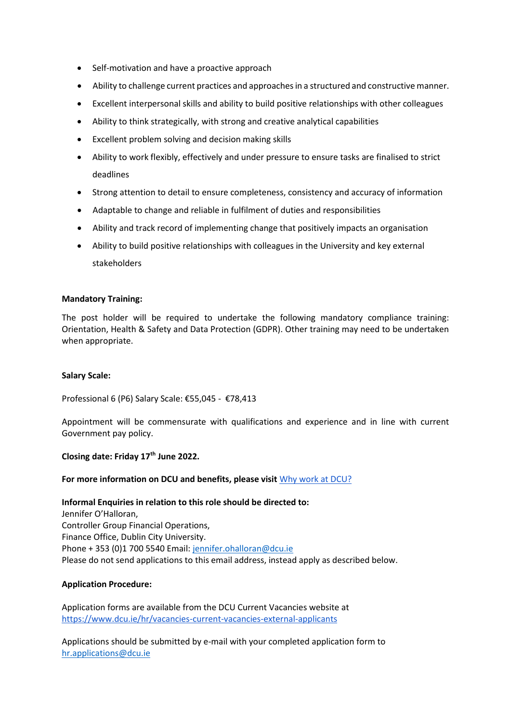- Self-motivation and have a proactive approach
- Ability to challenge current practices and approaches in a structured and constructive manner.
- Excellent interpersonal skills and ability to build positive relationships with other colleagues
- Ability to think strategically, with strong and creative analytical capabilities
- Excellent problem solving and decision making skills
- Ability to work flexibly, effectively and under pressure to ensure tasks are finalised to strict deadlines
- Strong attention to detail to ensure completeness, consistency and accuracy of information
- Adaptable to change and reliable in fulfilment of duties and responsibilities
- Ability and track record of implementing change that positively impacts an organisation
- Ability to build positive relationships with colleagues in the University and key external stakeholders

#### **Mandatory Training:**

The post holder will be required to undertake the following mandatory compliance training: Orientation, Health & Safety and Data Protection (GDPR). Other training may need to be undertaken when appropriate.

### **Salary Scale:**

Professional 6 (P6) Salary Scale: €55,045 - €78,413

Appointment will be commensurate with qualifications and experience and in line with current Government pay policy.

#### **Closing date: Friday 17th June 2022.**

### **For more information on DCU and benefits, please visit** [Why work at DCU?](https://www.dcu.ie/hr/why-work-dcu)

### **Informal Enquiries in relation to this role should be directed to:**

Jennifer O'Halloran, Controller Group Financial Operations, Finance Office, Dublin City University. Phone + 353 (0)1 700 5540 Email: [jennifer.ohalloran@dcu.ie](mailto:jennifer.ohalloran@dcu.ie) Please do not send applications to this email address, instead apply as described below.

### **Application Procedure:**

Application forms are available from the DCU Current Vacancies website at <https://www.dcu.ie/hr/vacancies-current-vacancies-external-applicants>

Applications should be submitted by e-mail with your completed application form to [hr.applications@dcu.ie](mailto:hr.applications@dcu.ie)